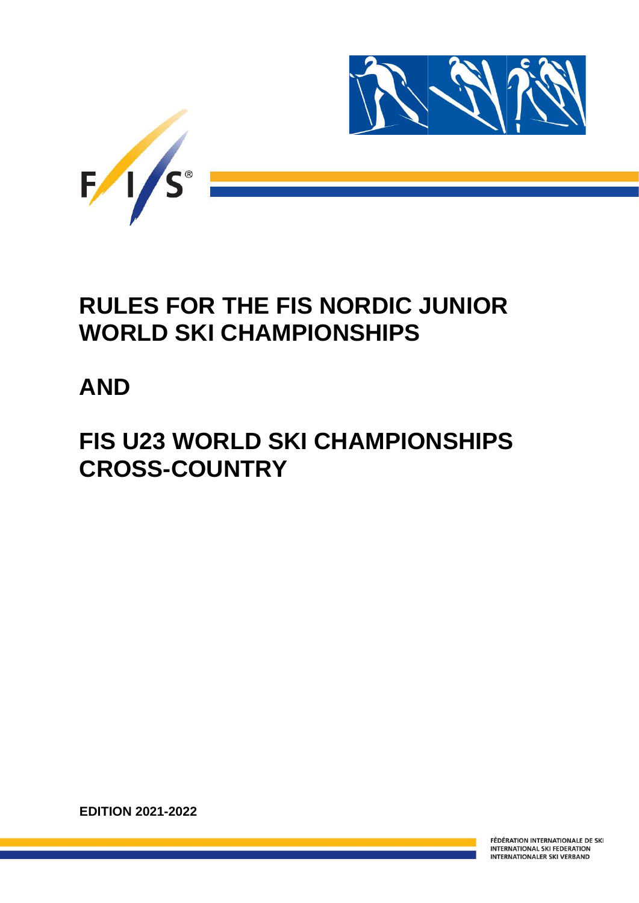

## **RULES FOR THE FIS NORDIC JUNIOR WORLD SKI CHAMPIONSHIPS**

## **AND**

# **FIS U23 WORLD SKI CHAMPIONSHIPS CROSS-COUNTRY**

**EDITION 2021-2022**

FÉDÉRATION INTERNATIONALE DE SKI **INTERNATIONAL SKI FEDERATION INTERNATIONALER SKI VERBAND**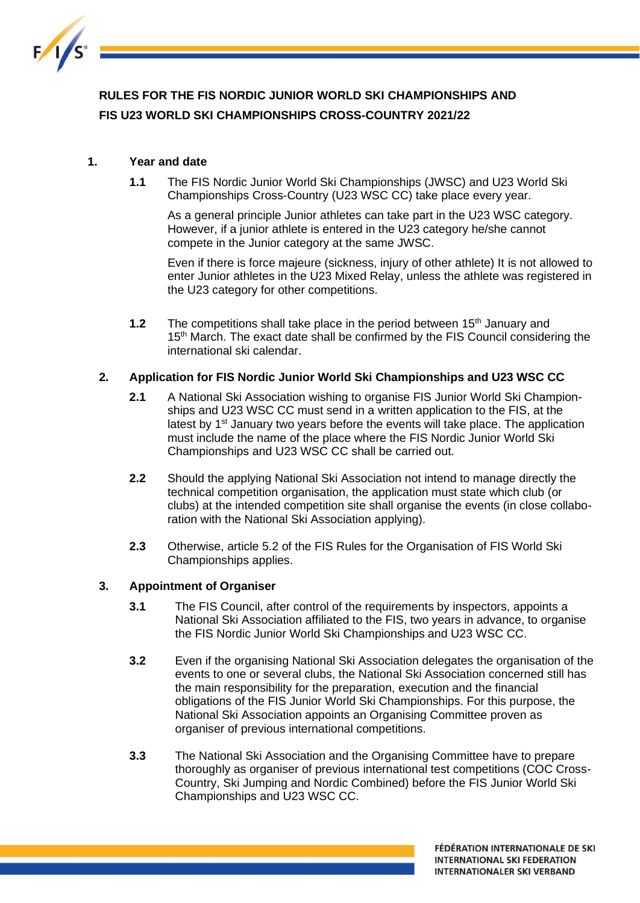

## **RULES FOR THE FIS NORDIC JUNIOR WORLD SKI CHAMPIONSHIPS AND FIS U23 WORLD SKI CHAMPIONSHIPS CROSS-COUNTRY 2021/22**

## **1. Year and date**

**1.1** The FIS Nordic Junior World Ski Championships (JWSC) and U23 World Ski Championships Cross-Country (U23 WSC CC) take place every year.

As a general principle Junior athletes can take part in the U23 WSC category. However, if a junior athlete is entered in the U23 category he/she cannot compete in the Junior category at the same JWSC.

Even if there is force majeure (sickness, injury of other athlete) It is not allowed to enter Junior athletes in the U23 Mixed Relay, unless the athlete was registered in the U23 category for other competitions.

**1.2** The competitions shall take place in the period between 15<sup>th</sup> January and 15<sup>th</sup> March. The exact date shall be confirmed by the FIS Council considering the international ski calendar.

#### **2. Application for FIS Nordic Junior World Ski Championships and U23 WSC CC**

- **2.1** A National Ski Association wishing to organise FIS Junior World Ski Championships and U23 WSC CC must send in a written application to the FIS, at the latest by  $1<sup>st</sup>$  January two years before the events will take place. The application must include the name of the place where the FIS Nordic Junior World Ski Championships and U23 WSC CC shall be carried out.
- **2.2** Should the applying National Ski Association not intend to manage directly the technical competition organisation, the application must state which club (or clubs) at the intended competition site shall organise the events (in close collaboration with the National Ski Association applying).
- **2.3** Otherwise, article 5.2 of the FIS Rules for the Organisation of FIS World Ski Championships applies.

#### **3. Appointment of Organiser**

- **3.1** The FIS Council, after control of the requirements by inspectors, appoints a National Ski Association affiliated to the FIS, two years in advance, to organise the FIS Nordic Junior World Ski Championships and U23 WSC CC.
- **3.2** Even if the organising National Ski Association delegates the organisation of the events to one or several clubs, the National Ski Association concerned still has the main responsibility for the preparation, execution and the financial obligations of the FIS Junior World Ski Championships. For this purpose, the National Ski Association appoints an Organising Committee proven as organiser of previous international competitions.
- **3.3** The National Ski Association and the Organising Committee have to prepare thoroughly as organiser of previous international test competitions (COC Cross-Country, Ski Jumping and Nordic Combined) before the FIS Junior World Ski Championships and U23 WSC CC.

FÉDÉRATION INTERNATIONALE DE SKI **INTERNATIONAL SKI FEDERATION INTERNATIONALER SKI VERBAND**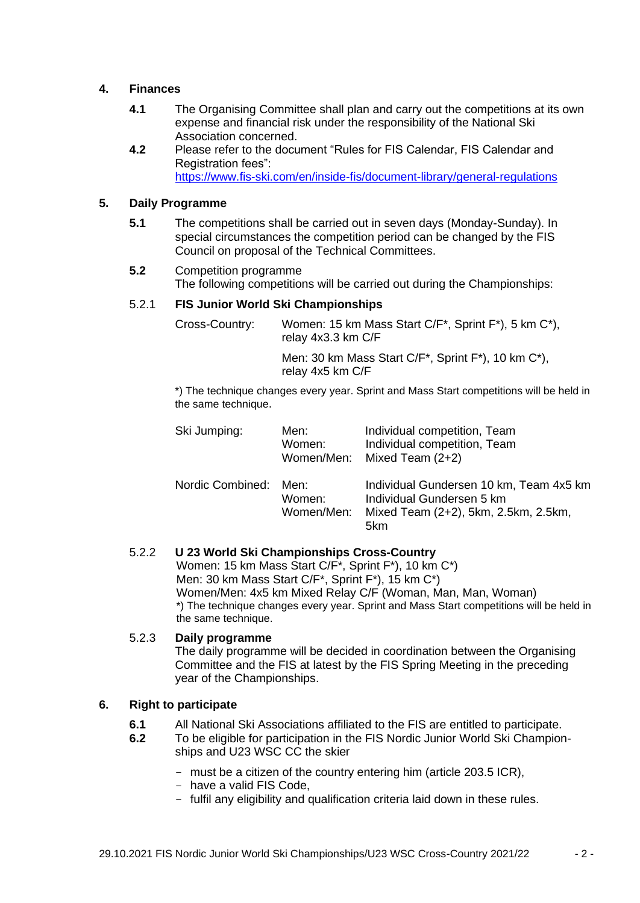### **4. Finances**

- **4.1** The Organising Committee shall plan and carry out the competitions at its own expense and financial risk under the responsibility of the National Ski Association concerned.
- **4.2** Please refer to the document "Rules for FIS Calendar, FIS Calendar and Registration fees": <https://www.fis-ski.com/en/inside-fis/document-library/general-regulations>

## **5. Daily Programme**

- **5.1** The competitions shall be carried out in seven days (Monday-Sunday). In special circumstances the competition period can be changed by the FIS Council on proposal of the Technical Committees.
- **5.2** Competition programme The following competitions will be carried out during the Championships:

## 5.2.1 **FIS Junior World Ski Championships**

Cross-Country: Women: 15 km Mass Start C/F\*, Sprint F\*), 5 km C\*), relay 4x3.3 km C/F Men: 30 km Mass Start C/F\*, Sprint F\*), 10 km C\*), relay 4x5 km C/F

\*) The technique changes every year. Sprint and Mass Start competitions will be held in the same technique.

| Ski Jumping:     | Men:<br>Women:<br>Women/Men: | Individual competition, Team<br>Individual competition, Team<br>Mixed Team $(2+2)$                                  |
|------------------|------------------------------|---------------------------------------------------------------------------------------------------------------------|
| Nordic Combined: | Men:<br>Women:<br>Women/Men: | Individual Gundersen 10 km, Team 4x5 km<br>Individual Gundersen 5 km<br>Mixed Team (2+2), 5km, 2.5km, 2.5km,<br>5km |

## 5.2.2 **U 23 World Ski Championships Cross-Country**

Women: 15 km Mass Start C/F\*, Sprint F\*), 10 km C\*) Men: 30 km Mass Start C/F\*, Sprint F\*), 15 km C\*) Women/Men: 4x5 km Mixed Relay C/F (Woman, Man, Man, Woman) \*) The technique changes every year. Sprint and Mass Start competitions will be held in the same technique.

#### 5.2.3 **Daily programme**

The daily programme will be decided in coordination between the Organising Committee and the FIS at latest by the FIS Spring Meeting in the preceding year of the Championships.

#### **6. Right to participate**

- **6.1** All National Ski Associations affiliated to the FIS are entitled to participate.
- **6.2** To be eligible for participation in the FIS Nordic Junior World Ski Championships and U23 WSC CC the skier
	- must be a citizen of the country entering him (article 203.5 ICR),
	- have a valid FIS Code,
	- fulfil any eligibility and qualification criteria laid down in these rules.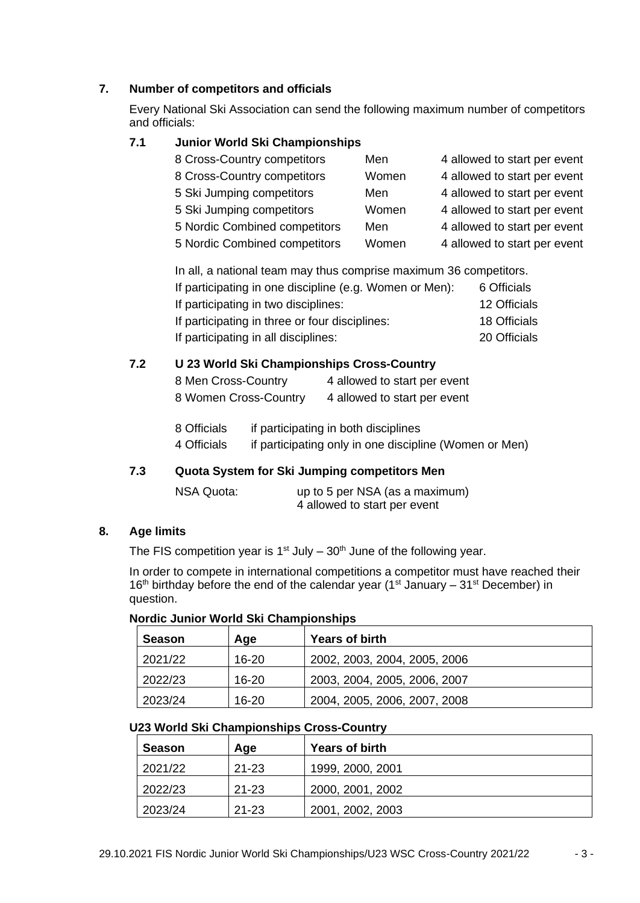## **7. Number of competitors and officials**

Every National Ski Association can send the following maximum number of competitors and officials:

## **7.1 Junior World Ski Championships**

| 8 Cross-Country competitors   | Men   | 4 allowed to start per event |
|-------------------------------|-------|------------------------------|
| 8 Cross-Country competitors   | Women | 4 allowed to start per event |
| 5 Ski Jumping competitors     | Men   | 4 allowed to start per event |
| 5 Ski Jumping competitors     | Women | 4 allowed to start per event |
| 5 Nordic Combined competitors | Men   | 4 allowed to start per event |
| 5 Nordic Combined competitors | Women | 4 allowed to start per event |

| In all, a national team may thus comprise maximum 36 competitors. |              |  |  |  |
|-------------------------------------------------------------------|--------------|--|--|--|
| If participating in one discipline (e.g. Women or Men):           | 6 Officials  |  |  |  |
| If participating in two disciplines:                              | 12 Officials |  |  |  |
| If participating in three or four disciplines:                    | 18 Officials |  |  |  |
| If participating in all disciplines:                              | 20 Officials |  |  |  |

## **7.2 U 23 World Ski Championships Cross-Country**

| 8 Men Cross-Country   | 4 allowed to start per event |
|-----------------------|------------------------------|
| 8 Women Cross-Country | 4 allowed to start per event |

| 8 Officials | if participating in both disciplines                   |
|-------------|--------------------------------------------------------|
| 4 Officials | if participating only in one discipline (Women or Men) |

## **7.3 Quota System for Ski Jumping competitors Men**

| NSA Quota: | up to 5 per NSA (as a maximum) |
|------------|--------------------------------|
|            | 4 allowed to start per event   |

#### **8. Age limits**

The FIS competition year is  $1<sup>st</sup>$  July –  $30<sup>th</sup>$  June of the following year.

In order to compete in international competitions a competitor must have reached their 16th birthday before the end of the calendar year (1<sup>st</sup> January – 31<sup>st</sup> December) in question.

| Season  | Age       | <b>Years of birth</b>        |
|---------|-----------|------------------------------|
| 2021/22 | 16-20     | 2002, 2003, 2004, 2005, 2006 |
| 2022/23 | $16 - 20$ | 2003, 2004, 2005, 2006, 2007 |
| 2023/24 | $16 - 20$ | 2004, 2005, 2006, 2007, 2008 |

#### **Nordic Junior World Ski Championships**

## **U23 World Ski Championships Cross-Country**

| <b>Season</b> | Age       | <b>Years of birth</b> |
|---------------|-----------|-----------------------|
| 2021/22       | $21 - 23$ | 1999, 2000, 2001      |
| 2022/23       | $21 - 23$ | 2000, 2001, 2002      |
| 2023/24       | $21 - 23$ | 2001, 2002, 2003      |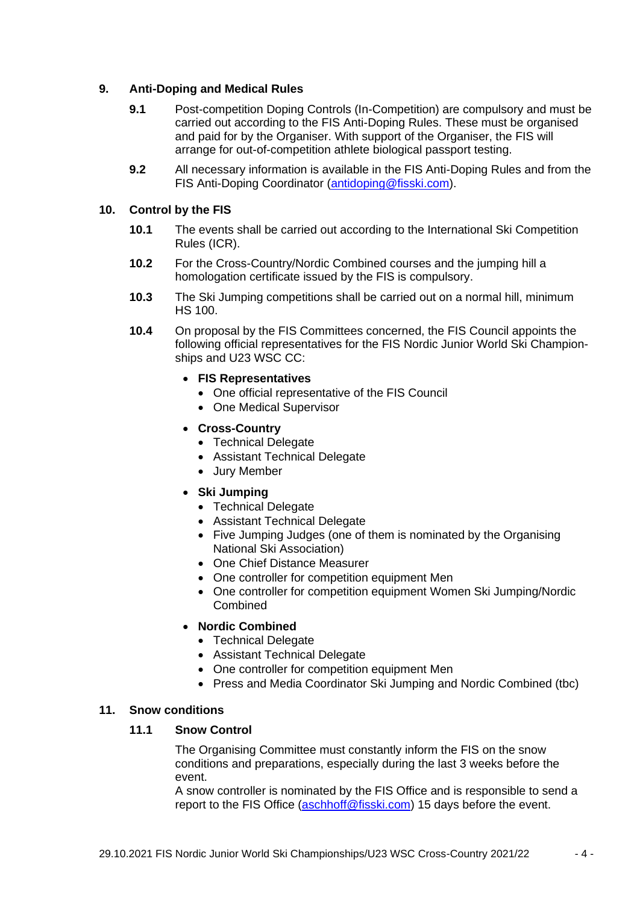## **9. Anti-Doping and Medical Rules**

- **9.1** Post-competition Doping Controls (In-Competition) are compulsory and must be carried out according to the FIS Anti-Doping Rules. These must be organised and paid for by the Organiser. With support of the Organiser, the FIS will arrange for out-of-competition athlete biological passport testing.
- **9.2** All necessary information is available in the FIS Anti-Doping Rules and from the FIS Anti-Doping Coordinator [\(antidoping@fisski.com\)](mailto:antidoping@fisski.com).

#### **10. Control by the FIS**

- **10.1** The events shall be carried out according to the International Ski Competition Rules (ICR).
- **10.2** For the Cross-Country/Nordic Combined courses and the jumping hill a homologation certificate issued by the FIS is compulsory.
- **10.3** The Ski Jumping competitions shall be carried out on a normal hill, minimum HS 100.
- **10.4** On proposal by the FIS Committees concerned, the FIS Council appoints the following official representatives for the FIS Nordic Junior World Ski Championships and U23 WSC CC:
	- **FIS Representatives**
		- One official representative of the FIS Council
		- One Medical Supervisor
	- **Cross-Country**
		- Technical Delegate
		- Assistant Technical Delegate
		- Jury Member
	- **Ski Jumping**
		- Technical Delegate
		- Assistant Technical Delegate
		- Five Jumping Judges (one of them is nominated by the Organising National Ski Association)
		- One Chief Distance Measurer
		- One controller for competition equipment Men
		- One controller for competition equipment Women Ski Jumping/Nordic Combined
	- **Nordic Combined**
		- Technical Delegate
		- Assistant Technical Delegate
		- One controller for competition equipment Men
		- Press and Media Coordinator Ski Jumping and Nordic Combined (tbc)

#### **11. Snow conditions**

## **11.1 Snow Control**

The Organising Committee must constantly inform the FIS on the snow conditions and preparations, especially during the last 3 weeks before the event.

A snow controller is nominated by the FIS Office and is responsible to send a report to the FIS Office [\(aschhoff@fisski.com\)](mailto:friedrich@fisski.com) 15 days before the event.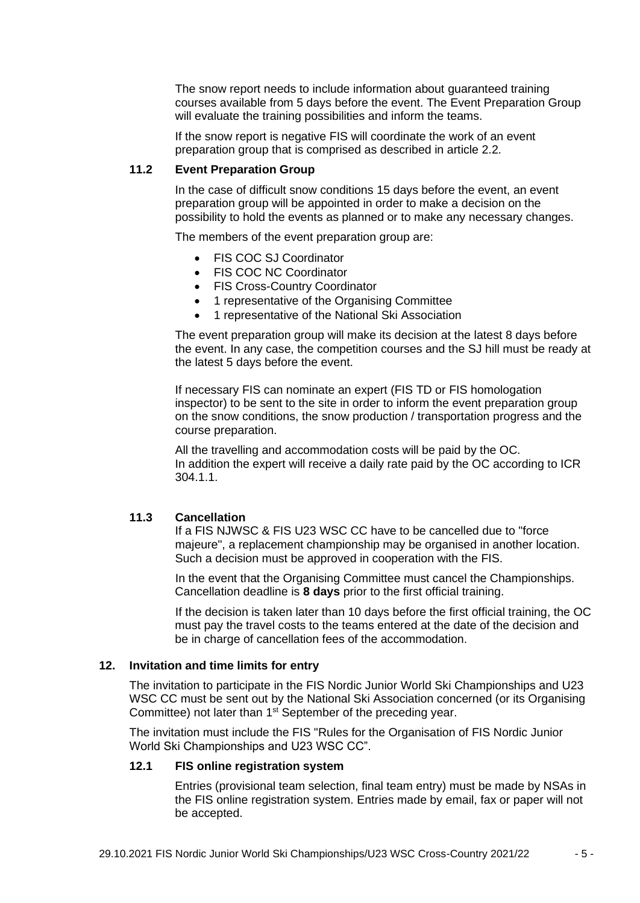The snow report needs to include information about guaranteed training courses available from 5 days before the event. The Event Preparation Group will evaluate the training possibilities and inform the teams.

If the snow report is negative FIS will coordinate the work of an event preparation group that is comprised as described in article 2.2.

#### **11.2 Event Preparation Group**

In the case of difficult snow conditions 15 days before the event, an event preparation group will be appointed in order to make a decision on the possibility to hold the events as planned or to make any necessary changes.

The members of the event preparation group are:

- FIS COC SJ Coordinator
- FIS COC NC Coordinator
- FIS Cross-Country Coordinator
- 1 representative of the Organising Committee
- 1 representative of the National Ski Association

The event preparation group will make its decision at the latest 8 days before the event. In any case, the competition courses and the SJ hill must be ready at the latest 5 days before the event.

If necessary FIS can nominate an expert (FIS TD or FIS homologation inspector) to be sent to the site in order to inform the event preparation group on the snow conditions, the snow production / transportation progress and the course preparation.

All the travelling and accommodation costs will be paid by the OC. In addition the expert will receive a daily rate paid by the OC according to ICR 304.1.1.

#### **11.3 Cancellation**

If a FIS NJWSC & FIS U23 WSC CC have to be cancelled due to "force majeure", a replacement championship may be organised in another location. Such a decision must be approved in cooperation with the FIS.

In the event that the Organising Committee must cancel the Championships. Cancellation deadline is **8 days** prior to the first official training.

If the decision is taken later than 10 days before the first official training, the OC must pay the travel costs to the teams entered at the date of the decision and be in charge of cancellation fees of the accommodation.

#### **12. Invitation and time limits for entry**

The invitation to participate in the FIS Nordic Junior World Ski Championships and U23 WSC CC must be sent out by the National Ski Association concerned (or its Organising Committee) not later than 1<sup>st</sup> September of the preceding year.

The invitation must include the FIS "Rules for the Organisation of FIS Nordic Junior World Ski Championships and U23 WSC CC".

#### **12.1 FIS online registration system**

Entries (provisional team selection, final team entry) must be made by NSAs in the FIS online registration system. Entries made by email, fax or paper will not be accepted.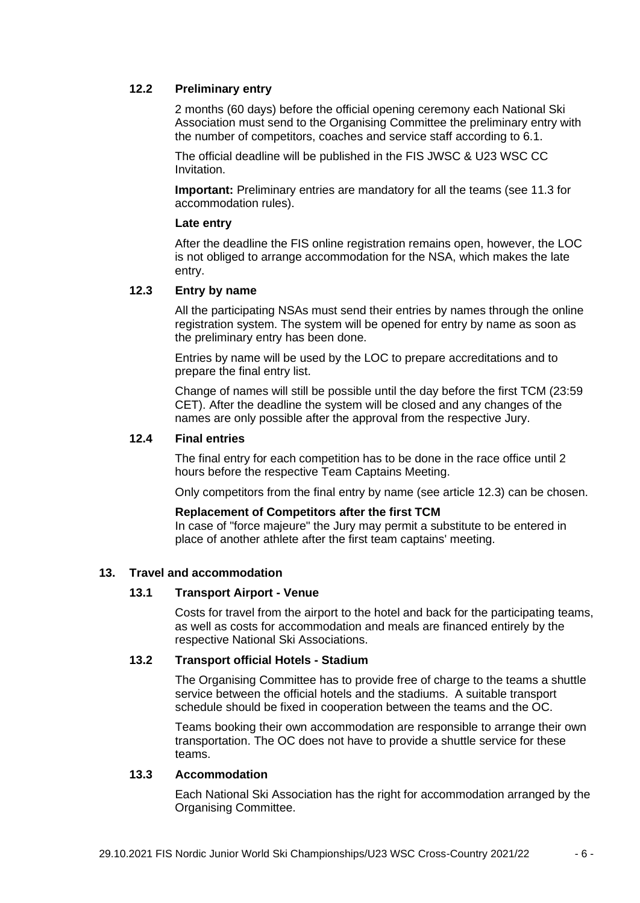#### **12.2 Preliminary entry**

2 months (60 days) before the official opening ceremony each National Ski Association must send to the Organising Committee the preliminary entry with the number of competitors, coaches and service staff according to 6.1.

The official deadline will be published in the FIS JWSC & U23 WSC CC Invitation.

**Important:** Preliminary entries are mandatory for all the teams (see 11.3 for accommodation rules).

#### **Late entry**

After the deadline the FIS online registration remains open, however, the LOC is not obliged to arrange accommodation for the NSA, which makes the late entry.

## **12.3 Entry by name**

All the participating NSAs must send their entries by names through the online registration system. The system will be opened for entry by name as soon as the preliminary entry has been done.

Entries by name will be used by the LOC to prepare accreditations and to prepare the final entry list.

Change of names will still be possible until the day before the first TCM (23:59 CET). After the deadline the system will be closed and any changes of the names are only possible after the approval from the respective Jury.

#### **12.4 Final entries**

The final entry for each competition has to be done in the race office until 2 hours before the respective Team Captains Meeting.

Only competitors from the final entry by name (see article 12.3) can be chosen.

#### **Replacement of Competitors after the first TCM**

In case of "force majeure" the Jury may permit a substitute to be entered in place of another athlete after the first team captains' meeting.

#### **13. Travel and accommodation**

#### **13.1 Transport Airport - Venue**

Costs for travel from the airport to the hotel and back for the participating teams, as well as costs for accommodation and meals are financed entirely by the respective National Ski Associations.

#### **13.2 Transport official Hotels - Stadium**

The Organising Committee has to provide free of charge to the teams a shuttle service between the official hotels and the stadiums. A suitable transport schedule should be fixed in cooperation between the teams and the OC.

Teams booking their own accommodation are responsible to arrange their own transportation. The OC does not have to provide a shuttle service for these teams.

#### **13.3 Accommodation**

Each National Ski Association has the right for accommodation arranged by the Organising Committee.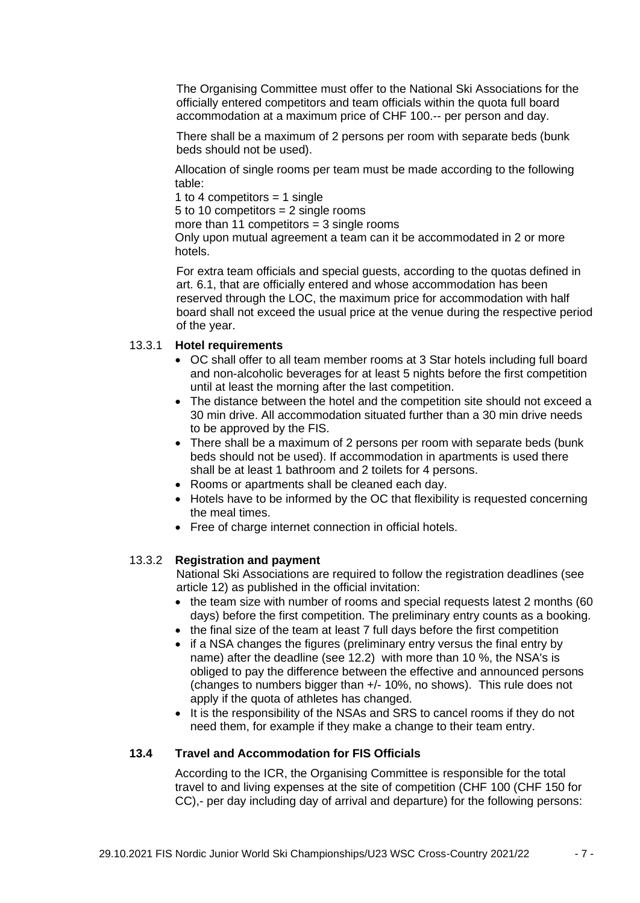The Organising Committee must offer to the National Ski Associations for the officially entered competitors and team officials within the quota full board accommodation at a maximum price of CHF 100.-- per person and day.

There shall be a maximum of 2 persons per room with separate beds (bunk beds should not be used).

Allocation of single rooms per team must be made according to the following table:

1 to 4 competitors  $=$  1 single

5 to 10 competitors  $= 2$  single rooms

more than 11 competitors  $=$  3 single rooms

Only upon mutual agreement a team can it be accommodated in 2 or more hotels.

For extra team officials and special guests, according to the quotas defined in art. 6.1, that are officially entered and whose accommodation has been reserved through the LOC, the maximum price for accommodation with half board shall not exceed the usual price at the venue during the respective period of the year.

## 13.3.1 **Hotel requirements**

- OC shall offer to all team member rooms at 3 Star hotels including full board and non-alcoholic beverages for at least 5 nights before the first competition until at least the morning after the last competition.
- The distance between the hotel and the competition site should not exceed a 30 min drive. All accommodation situated further than a 30 min drive needs to be approved by the FIS.
- There shall be a maximum of 2 persons per room with separate beds (bunk beds should not be used). If accommodation in apartments is used there shall be at least 1 bathroom and 2 toilets for 4 persons.
- Rooms or apartments shall be cleaned each day.
- Hotels have to be informed by the OC that flexibility is requested concerning the meal times.
- Free of charge internet connection in official hotels.

#### 13.3.2 **Registration and payment**

National Ski Associations are required to follow the registration deadlines (see article 12) as published in the official invitation:

- the team size with number of rooms and special requests latest 2 months (60) days) before the first competition. The preliminary entry counts as a booking.
- the final size of the team at least 7 full days before the first competition
- if a NSA changes the figures (preliminary entry versus the final entry by name) after the deadline (see 12.2) with more than 10 %, the NSA's is obliged to pay the difference between the effective and announced persons (changes to numbers bigger than +/- 10%, no shows). This rule does not apply if the quota of athletes has changed.
- It is the responsibility of the NSAs and SRS to cancel rooms if they do not need them, for example if they make a change to their team entry.

#### **13.4 Travel and Accommodation for FIS Officials**

According to the ICR, the Organising Committee is responsible for the total travel to and living expenses at the site of competition (CHF 100 (CHF 150 for CC),- per day including day of arrival and departure) for the following persons: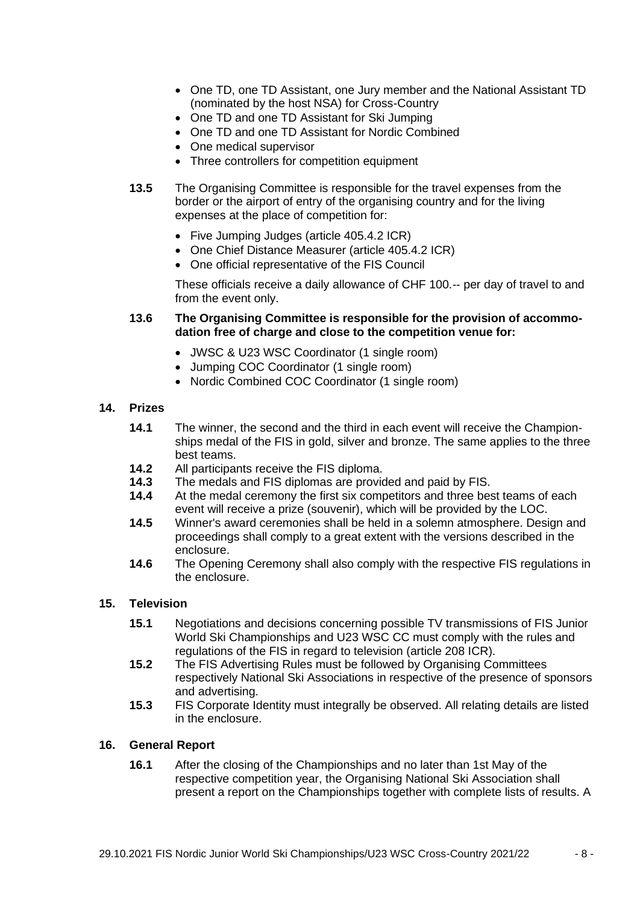- One TD, one TD Assistant, one Jury member and the National Assistant TD (nominated by the host NSA) for Cross-Country
- One TD and one TD Assistant for Ski Jumping
- One TD and one TD Assistant for Nordic Combined
- One medical supervisor
- Three controllers for competition equipment
- **13.5** The Organising Committee is responsible for the travel expenses from the border or the airport of entry of the organising country and for the living expenses at the place of competition for:
	- Five Jumping Judges (article 405.4.2 ICR)
	- One Chief Distance Measurer (article 405.4.2 ICR)
	- One official representative of the FIS Council

These officials receive a daily allowance of CHF 100.-- per day of travel to and from the event only.

#### **13.6 The Organising Committee is responsible for the provision of accommodation free of charge and close to the competition venue for:**

- JWSC & U23 WSC Coordinator (1 single room)
- Jumping COC Coordinator (1 single room)
- Nordic Combined COC Coordinator (1 single room)

#### **14. Prizes**

- **14.1** The winner, the second and the third in each event will receive the Championships medal of the FIS in gold, silver and bronze. The same applies to the three best teams.
- **14.2** All participants receive the FIS diploma.
- **14.3** The medals and FIS diplomas are provided and paid by FIS.
- **14.4** At the medal ceremony the first six competitors and three best teams of each event will receive a prize (souvenir), which will be provided by the LOC.
- **14.5** Winner's award ceremonies shall be held in a solemn atmosphere. Design and proceedings shall comply to a great extent with the versions described in the enclosure.
- **14.6** The Opening Ceremony shall also comply with the respective FIS regulations in the enclosure.

## **15. Television**

- **15.1** Negotiations and decisions concerning possible TV transmissions of FIS Junior World Ski Championships and U23 WSC CC must comply with the rules and regulations of the FIS in regard to television (article 208 ICR).
- **15.2** The FIS Advertising Rules must be followed by Organising Committees respectively National Ski Associations in respective of the presence of sponsors and advertising.
- **15.3** FIS Corporate Identity must integrally be observed. All relating details are listed in the enclosure.

#### **16. General Report**

**16.1** After the closing of the Championships and no later than 1st May of the respective competition year, the Organising National Ski Association shall present a report on the Championships together with complete lists of results. A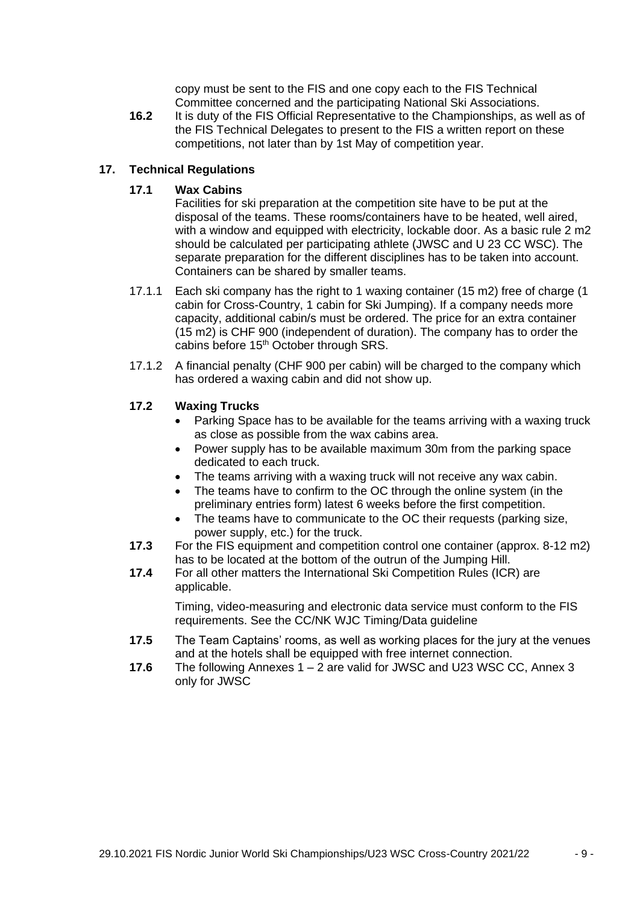copy must be sent to the FIS and one copy each to the FIS Technical Committee concerned and the participating National Ski Associations.

**16.2** It is duty of the FIS Official Representative to the Championships, as well as of the FIS Technical Delegates to present to the FIS a written report on these competitions, not later than by 1st May of competition year.

#### **17. Technical Regulations**

## **17.1 Wax Cabins**

Facilities for ski preparation at the competition site have to be put at the disposal of the teams. These rooms/containers have to be heated, well aired, with a window and equipped with electricity, lockable door. As a basic rule 2 m2 should be calculated per participating athlete (JWSC and U 23 CC WSC). The separate preparation for the different disciplines has to be taken into account. Containers can be shared by smaller teams.

- 17.1.1 Each ski company has the right to 1 waxing container (15 m2) free of charge (1 cabin for Cross-Country, 1 cabin for Ski Jumping). If a company needs more capacity, additional cabin/s must be ordered. The price for an extra container (15 m2) is CHF 900 (independent of duration). The company has to order the cabins before 15<sup>th</sup> October through SRS.
- 17.1.2 A financial penalty (CHF 900 per cabin) will be charged to the company which has ordered a waxing cabin and did not show up.

## **17.2 Waxing Trucks**

- Parking Space has to be available for the teams arriving with a waxing truck as close as possible from the wax cabins area.
- Power supply has to be available maximum 30m from the parking space dedicated to each truck.
- The teams arriving with a waxing truck will not receive any wax cabin.
- The teams have to confirm to the OC through the online system (in the preliminary entries form) latest 6 weeks before the first competition.
- The teams have to communicate to the OC their requests (parking size, power supply, etc.) for the truck.
- **17.3** For the FIS equipment and competition control one container (approx. 8-12 m2) has to be located at the bottom of the outrun of the Jumping Hill.
- **17.4** For all other matters the International Ski Competition Rules (ICR) are applicable.

Timing, video-measuring and electronic data service must conform to the FIS requirements. See the CC/NK WJC Timing/Data guideline

- **17.5** The Team Captains' rooms, as well as working places for the jury at the venues and at the hotels shall be equipped with free internet connection.
- **17.6** The following Annexes 1 2 are valid for JWSC and U23 WSC CC, Annex 3 only for JWSC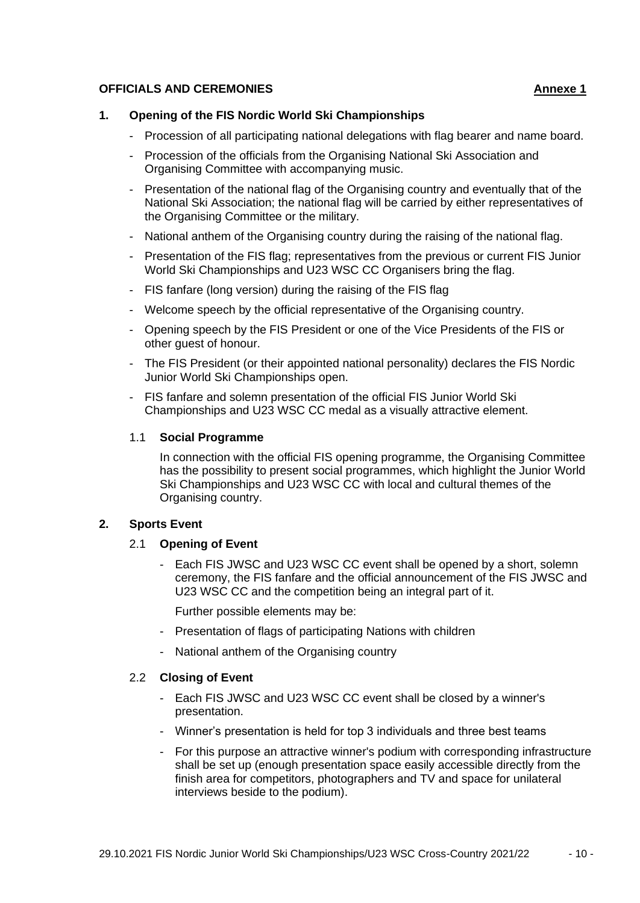#### **OFFICIALS AND CEREMONIES Annexe 1**

#### **1. Opening of the FIS Nordic World Ski Championships**

- Procession of all participating national delegations with flag bearer and name board.
- Procession of the officials from the Organising National Ski Association and Organising Committee with accompanying music.
- Presentation of the national flag of the Organising country and eventually that of the National Ski Association; the national flag will be carried by either representatives of the Organising Committee or the military.
- National anthem of the Organising country during the raising of the national flag.
- Presentation of the FIS flag; representatives from the previous or current FIS Junior World Ski Championships and U23 WSC CC Organisers bring the flag.
- FIS fanfare (long version) during the raising of the FIS flag
- Welcome speech by the official representative of the Organising country.
- Opening speech by the FIS President or one of the Vice Presidents of the FIS or other guest of honour.
- The FIS President (or their appointed national personality) declares the FIS Nordic Junior World Ski Championships open.
- FIS fanfare and solemn presentation of the official FIS Junior World Ski Championships and U23 WSC CC medal as a visually attractive element.

#### 1.1 **Social Programme**

In connection with the official FIS opening programme, the Organising Committee has the possibility to present social programmes, which highlight the Junior World Ski Championships and U23 WSC CC with local and cultural themes of the Organising country.

#### **2. Sports Event**

#### 2.1 **Opening of Event**

- Each FIS JWSC and U23 WSC CC event shall be opened by a short, solemn ceremony, the FIS fanfare and the official announcement of the FIS JWSC and U23 WSC CC and the competition being an integral part of it.

Further possible elements may be:

- Presentation of flags of participating Nations with children
- National anthem of the Organising country

### 2.2 **Closing of Event**

- Each FIS JWSC and U23 WSC CC event shall be closed by a winner's presentation.
- Winner's presentation is held for top 3 individuals and three best teams
- For this purpose an attractive winner's podium with corresponding infrastructure shall be set up (enough presentation space easily accessible directly from the finish area for competitors, photographers and TV and space for unilateral interviews beside to the podium).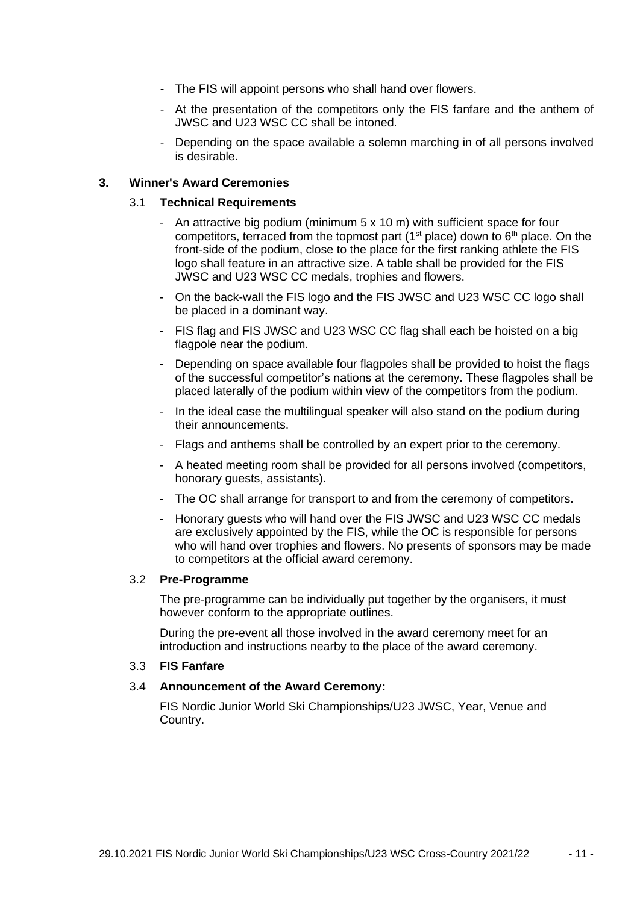- The FIS will appoint persons who shall hand over flowers.
- At the presentation of the competitors only the FIS fanfare and the anthem of JWSC and U23 WSC CC shall be intoned.
- Depending on the space available a solemn marching in of all persons involved is desirable.

## **3. Winner's Award Ceremonies**

#### 3.1 **Technical Requirements**

- An attractive big podium (minimum 5 x 10 m) with sufficient space for four competitors, terraced from the topmost part ( $1<sup>st</sup>$  place) down to  $6<sup>th</sup>$  place. On the front-side of the podium, close to the place for the first ranking athlete the FIS logo shall feature in an attractive size. A table shall be provided for the FIS JWSC and U23 WSC CC medals, trophies and flowers.
- On the back-wall the FIS logo and the FIS JWSC and U23 WSC CC logo shall be placed in a dominant way.
- FIS flag and FIS JWSC and U23 WSC CC flag shall each be hoisted on a big flagpole near the podium.
- Depending on space available four flagpoles shall be provided to hoist the flags of the successful competitor's nations at the ceremony. These flagpoles shall be placed laterally of the podium within view of the competitors from the podium.
- In the ideal case the multilingual speaker will also stand on the podium during their announcements.
- Flags and anthems shall be controlled by an expert prior to the ceremony.
- A heated meeting room shall be provided for all persons involved (competitors, honorary guests, assistants).
- The OC shall arrange for transport to and from the ceremony of competitors.
- Honorary guests who will hand over the FIS JWSC and U23 WSC CC medals are exclusively appointed by the FIS, while the OC is responsible for persons who will hand over trophies and flowers. No presents of sponsors may be made to competitors at the official award ceremony.

#### 3.2 **Pre-Programme**

The pre-programme can be individually put together by the organisers, it must however conform to the appropriate outlines.

During the pre-event all those involved in the award ceremony meet for an introduction and instructions nearby to the place of the award ceremony.

#### 3.3 **FIS Fanfare**

#### 3.4 **Announcement of the Award Ceremony:**

FIS Nordic Junior World Ski Championships/U23 JWSC, Year, Venue and Country.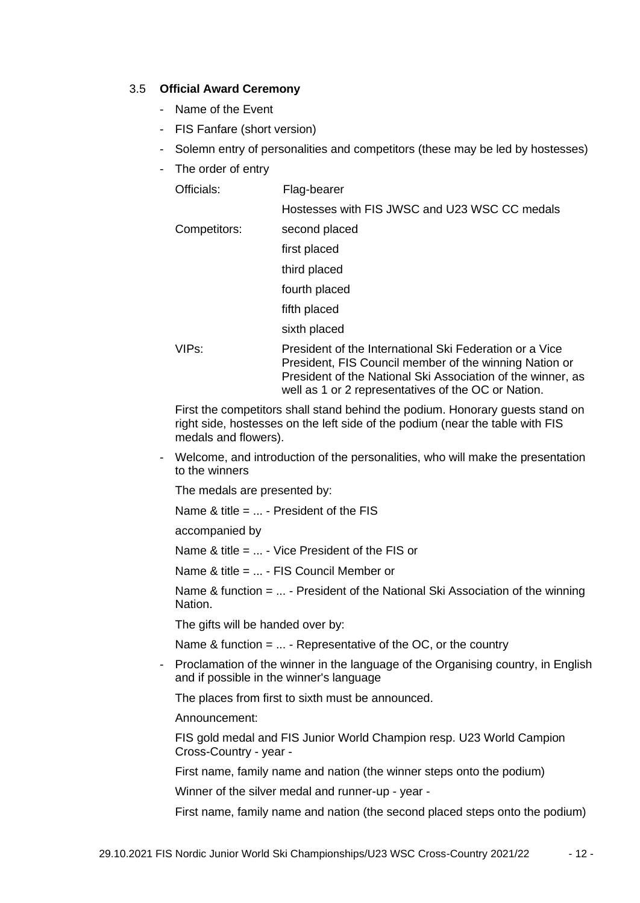#### 3.5 **Official Award Ceremony**

- Name of the Event
- FIS Fanfare (short version)
- Solemn entry of personalities and competitors (these may be led by hostesses)
- The order of entry

| Officials:   | Flag-bearer                                                                                                       |  |  |
|--------------|-------------------------------------------------------------------------------------------------------------------|--|--|
|              | Hostesses with FIS JWSC and U23 WSC CC medals                                                                     |  |  |
| Competitors: | second placed                                                                                                     |  |  |
|              | first placed                                                                                                      |  |  |
|              | third placed                                                                                                      |  |  |
|              | fourth placed                                                                                                     |  |  |
|              | fifth placed                                                                                                      |  |  |
|              | sixth placed                                                                                                      |  |  |
| VIPs:        | President of the International Ski Federation or a Vice<br>President, FIS Council member of the winning Nation or |  |  |

President of the National Ski Association of the winner, as well as 1 or 2 representatives of the OC or Nation.

First the competitors shall stand behind the podium. Honorary guests stand on right side, hostesses on the left side of the podium (near the table with FIS medals and flowers).

- Welcome, and introduction of the personalities, who will make the presentation to the winners

The medals are presented by:

Name & title = ... - President of the FIS

accompanied by

Name & title = ... - Vice President of the FIS or

Name & title = ... - FIS Council Member or

Name & function = ... - President of the National Ski Association of the winning Nation.

The gifts will be handed over by:

Name & function  $= \ldots$  - Representative of the OC, or the country

- Proclamation of the winner in the language of the Organising country, in English and if possible in the winner's language

The places from first to sixth must be announced.

Announcement:

FIS gold medal and FIS Junior World Champion resp. U23 World Campion Cross-Country - year -

First name, family name and nation (the winner steps onto the podium)

Winner of the silver medal and runner-up - year -

First name, family name and nation (the second placed steps onto the podium)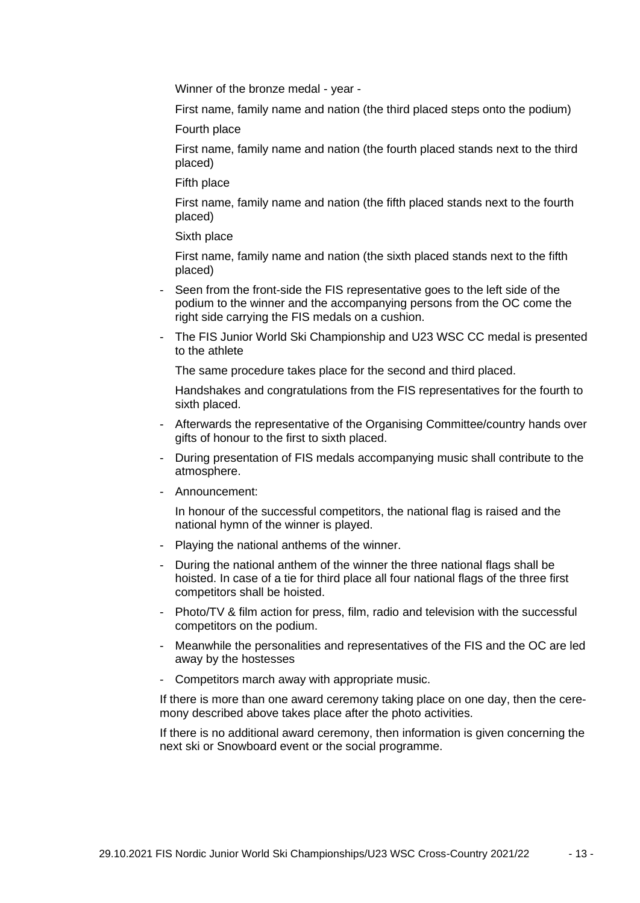Winner of the bronze medal - year -

First name, family name and nation (the third placed steps onto the podium)

Fourth place

First name, family name and nation (the fourth placed stands next to the third placed)

Fifth place

First name, family name and nation (the fifth placed stands next to the fourth placed)

Sixth place

First name, family name and nation (the sixth placed stands next to the fifth placed)

- Seen from the front-side the FIS representative goes to the left side of the podium to the winner and the accompanying persons from the OC come the right side carrying the FIS medals on a cushion.
- The FIS Junior World Ski Championship and U23 WSC CC medal is presented to the athlete

The same procedure takes place for the second and third placed.

Handshakes and congratulations from the FIS representatives for the fourth to sixth placed.

- Afterwards the representative of the Organising Committee/country hands over gifts of honour to the first to sixth placed.
- During presentation of FIS medals accompanying music shall contribute to the atmosphere.
- Announcement:

In honour of the successful competitors, the national flag is raised and the national hymn of the winner is played.

- Playing the national anthems of the winner.
- During the national anthem of the winner the three national flags shall be hoisted. In case of a tie for third place all four national flags of the three first competitors shall be hoisted.
- Photo/TV & film action for press, film, radio and television with the successful competitors on the podium.
- Meanwhile the personalities and representatives of the FIS and the OC are led away by the hostesses
- Competitors march away with appropriate music.

If there is more than one award ceremony taking place on one day, then the ceremony described above takes place after the photo activities.

If there is no additional award ceremony, then information is given concerning the next ski or Snowboard event or the social programme.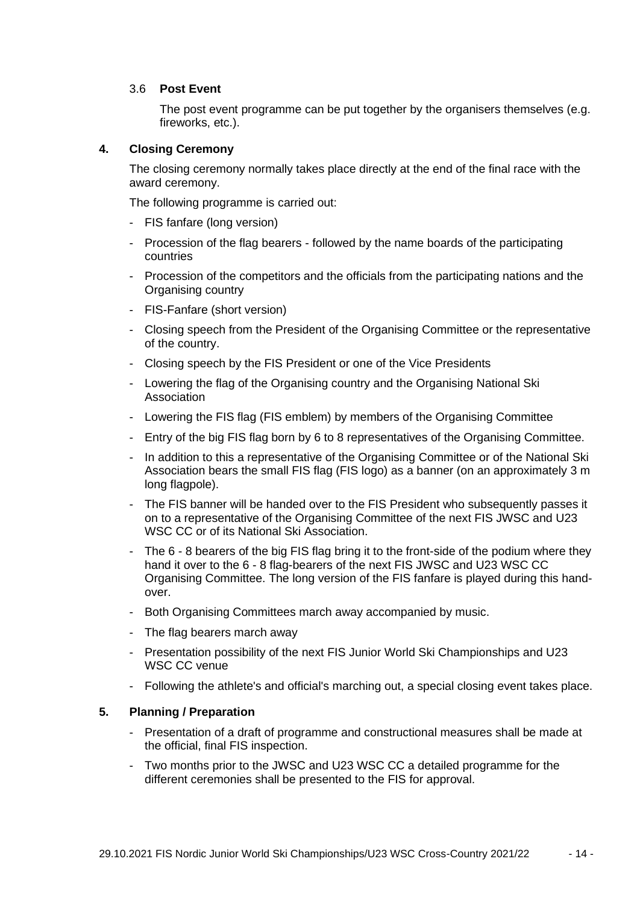#### 3.6 **Post Event**

The post event programme can be put together by the organisers themselves (e.g. fireworks, etc.).

## **4. Closing Ceremony**

The closing ceremony normally takes place directly at the end of the final race with the award ceremony.

The following programme is carried out:

- FIS fanfare (long version)
- Procession of the flag bearers followed by the name boards of the participating countries
- Procession of the competitors and the officials from the participating nations and the Organising country
- FIS-Fanfare (short version)
- Closing speech from the President of the Organising Committee or the representative of the country.
- Closing speech by the FIS President or one of the Vice Presidents
- Lowering the flag of the Organising country and the Organising National Ski Association
- Lowering the FIS flag (FIS emblem) by members of the Organising Committee
- Entry of the big FIS flag born by 6 to 8 representatives of the Organising Committee.
- In addition to this a representative of the Organising Committee or of the National Ski Association bears the small FIS flag (FIS logo) as a banner (on an approximately 3 m long flagpole).
- The FIS banner will be handed over to the FIS President who subsequently passes it on to a representative of the Organising Committee of the next FIS JWSC and U23 WSC CC or of its National Ski Association.
- The 6 8 bearers of the big FIS flag bring it to the front-side of the podium where they hand it over to the 6 - 8 flag-bearers of the next FIS JWSC and U23 WSC CC Organising Committee. The long version of the FIS fanfare is played during this handover.
- Both Organising Committees march away accompanied by music.
- The flag bearers march away
- Presentation possibility of the next FIS Junior World Ski Championships and U23 WSC CC venue
- Following the athlete's and official's marching out, a special closing event takes place.

#### **5. Planning / Preparation**

- Presentation of a draft of programme and constructional measures shall be made at the official, final FIS inspection.
- Two months prior to the JWSC and U23 WSC CC a detailed programme for the different ceremonies shall be presented to the FIS for approval.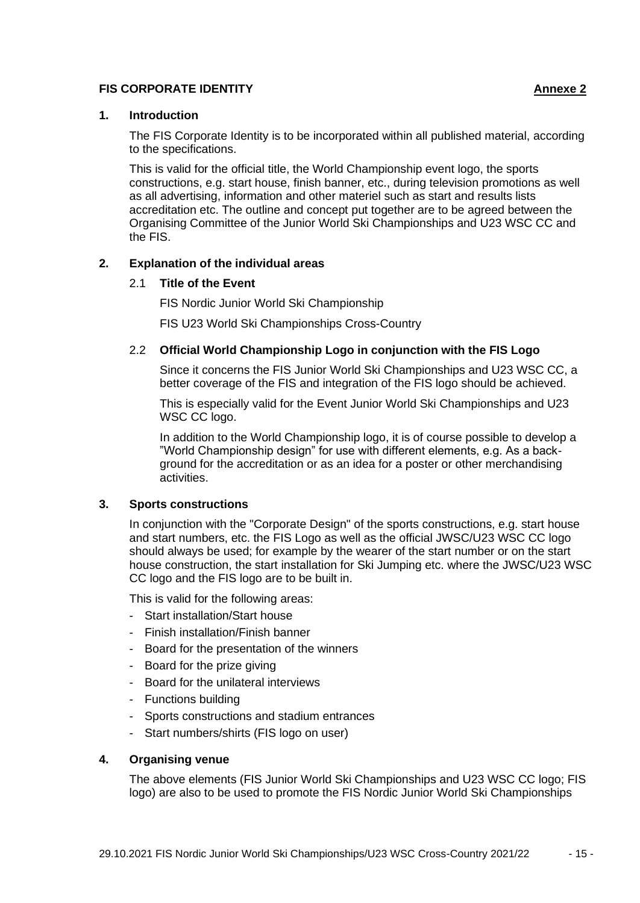#### **FIS CORPORATE IDENTITY Annexe 2**

#### **1. Introduction**

The FIS Corporate Identity is to be incorporated within all published material, according to the specifications.

This is valid for the official title, the World Championship event logo, the sports constructions, e.g. start house, finish banner, etc., during television promotions as well as all advertising, information and other materiel such as start and results lists accreditation etc. The outline and concept put together are to be agreed between the Organising Committee of the Junior World Ski Championships and U23 WSC CC and the FIS.

## **2. Explanation of the individual areas**

#### 2.1 **Title of the Event**

FIS Nordic Junior World Ski Championship

FIS U23 World Ski Championships Cross-Country

## 2.2 **Official World Championship Logo in conjunction with the FIS Logo**

Since it concerns the FIS Junior World Ski Championships and U23 WSC CC, a better coverage of the FIS and integration of the FIS logo should be achieved.

This is especially valid for the Event Junior World Ski Championships and U23 WSC CC logo.

In addition to the World Championship logo, it is of course possible to develop a "World Championship design" for use with different elements, e.g. As a background for the accreditation or as an idea for a poster or other merchandising activities.

#### **3. Sports constructions**

In conjunction with the "Corporate Design" of the sports constructions, e.g. start house and start numbers, etc. the FIS Logo as well as the official JWSC/U23 WSC CC logo should always be used; for example by the wearer of the start number or on the start house construction, the start installation for Ski Jumping etc. where the JWSC/U23 WSC CC logo and the FIS logo are to be built in.

This is valid for the following areas:

- Start installation/Start house
- Finish installation/Finish banner
- Board for the presentation of the winners
- Board for the prize giving
- Board for the unilateral interviews
- Functions building
- Sports constructions and stadium entrances
- Start numbers/shirts (FIS logo on user)

#### **4. Organising venue**

The above elements (FIS Junior World Ski Championships and U23 WSC CC logo; FIS logo) are also to be used to promote the FIS Nordic Junior World Ski Championships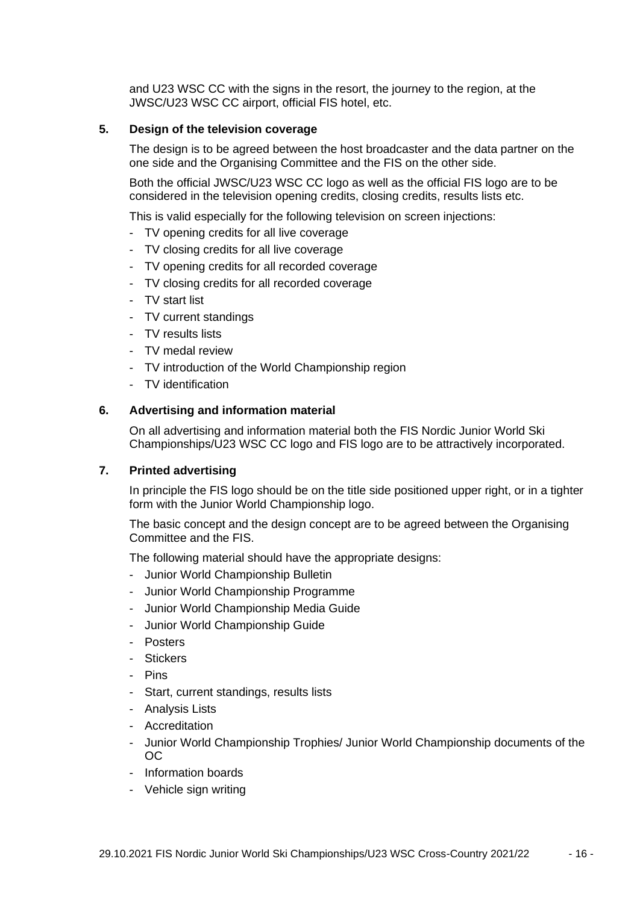and U23 WSC CC with the signs in the resort, the journey to the region, at the JWSC/U23 WSC CC airport, official FIS hotel, etc.

#### **5. Design of the television coverage**

The design is to be agreed between the host broadcaster and the data partner on the one side and the Organising Committee and the FIS on the other side.

Both the official JWSC/U23 WSC CC logo as well as the official FIS logo are to be considered in the television opening credits, closing credits, results lists etc.

This is valid especially for the following television on screen injections:

- TV opening credits for all live coverage
- TV closing credits for all live coverage
- TV opening credits for all recorded coverage
- TV closing credits for all recorded coverage
- TV start list
- TV current standings
- TV results lists
- TV medal review
- TV introduction of the World Championship region
- TV identification

#### **6. Advertising and information material**

On all advertising and information material both the FIS Nordic Junior World Ski Championships/U23 WSC CC logo and FIS logo are to be attractively incorporated.

#### **7. Printed advertising**

In principle the FIS logo should be on the title side positioned upper right, or in a tighter form with the Junior World Championship logo.

The basic concept and the design concept are to be agreed between the Organising Committee and the FIS.

The following material should have the appropriate designs:

- Junior World Championship Bulletin
- Junior World Championship Programme
- Junior World Championship Media Guide
- Junior World Championship Guide
- Posters
- Stickers
- Pins
- Start, current standings, results lists
- Analysis Lists
- Accreditation
- Junior World Championship Trophies/ Junior World Championship documents of the OC
- Information boards
- Vehicle sign writing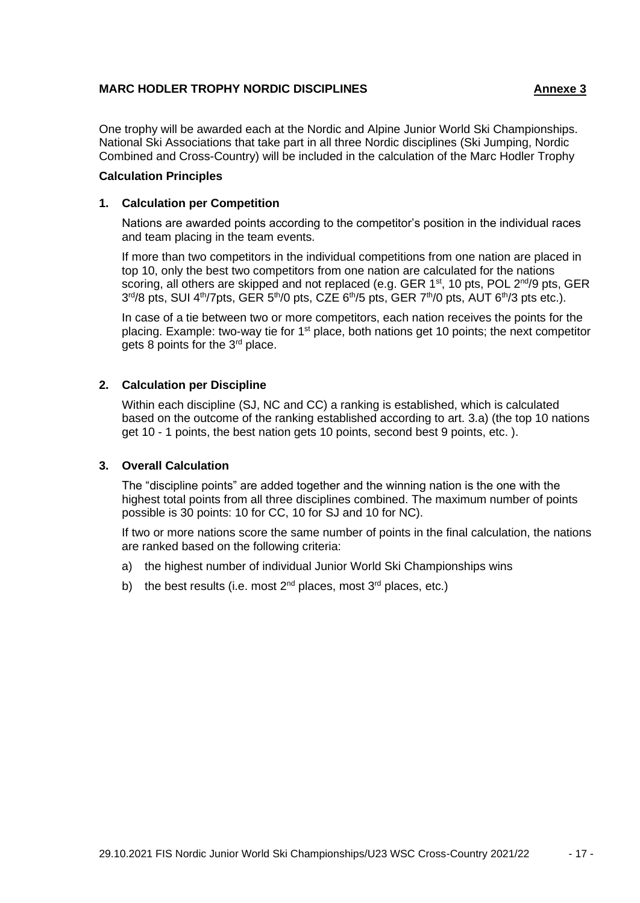#### **MARC HODLER TROPHY NORDIC DISCIPLINES Annexe 3**

One trophy will be awarded each at the Nordic and Alpine Junior World Ski Championships. National Ski Associations that take part in all three Nordic disciplines (Ski Jumping, Nordic Combined and Cross-Country) will be included in the calculation of the Marc Hodler Trophy

#### **Calculation Principles**

#### **1. Calculation per Competition**

Nations are awarded points according to the competitor's position in the individual races and team placing in the team events.

If more than two competitors in the individual competitions from one nation are placed in top 10, only the best two competitors from one nation are calculated for the nations scoring, all others are skipped and not replaced (e.g. GER  $1^{st}$ , 10 pts, POL  $2^{nd}/9$  pts, GER 3<sup>rd</sup>/8 pts, SUI 4<sup>th</sup>/7pts, GER 5<sup>th</sup>/0 pts, CZE 6<sup>th</sup>/5 pts, GER 7<sup>th</sup>/0 pts, AUT 6<sup>th</sup>/3 pts etc.).

In case of a tie between two or more competitors, each nation receives the points for the placing. Example: two-way tie for  $1<sup>st</sup>$  place, both nations get 10 points; the next competitor gets 8 points for the 3rd place.

#### **2. Calculation per Discipline**

Within each discipline (SJ, NC and CC) a ranking is established, which is calculated based on the outcome of the ranking established according to art. 3.a) (the top 10 nations get 10 - 1 points, the best nation gets 10 points, second best 9 points, etc. ).

#### **3. Overall Calculation**

The "discipline points" are added together and the winning nation is the one with the highest total points from all three disciplines combined. The maximum number of points possible is 30 points: 10 for CC, 10 for SJ and 10 for NC).

If two or more nations score the same number of points in the final calculation, the nations are ranked based on the following criteria:

- a) the highest number of individual Junior World Ski Championships wins
- b) the best results (i.e. most  $2^{nd}$  places, most  $3^{rd}$  places, etc.)